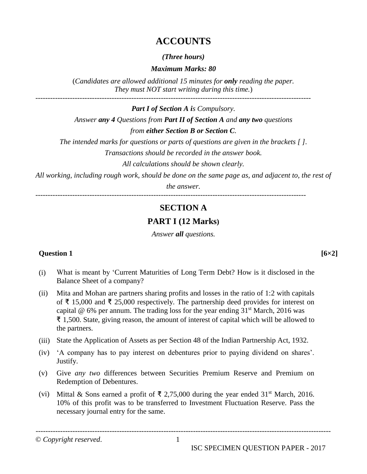## **ACCOUNTS**

#### *(Three hours)*

#### *Maximum Marks: 80*

(*Candidates are allowed additional 15 minutes for only reading the paper. They must NOT start writing during this time.*)

*Part I of Section A is Compulsory. Answer any 4 Questions from Part II of Section A and any two questions from either Section B or Section C.*

*The intended marks for questions or parts of questions are given in the brackets [ ]. Transactions should be recorded in the answer book.*

*All calculations should be shown clearly.*

*All working, including rough work, should be done on the same page as, and adjacent to, the rest of* 

*the answer.*

--------------------------------------------------------------------------------------------------------------

# **SECTION A**

## **PART I (12 Marks)**

*Answer all questions.*

#### **Question 1 [6×2]**

(i) What is meant by 'Current Maturities of Long Term Debt? How is it disclosed in the Balance Sheet of a company?

- (ii) Mita and Mohan are partners sharing profits and losses in the ratio of 1:2 with capitals of ₹ 15,000 and ₹ 25,000 respectively. The partnership deed provides for interest on capital  $\omega$  6% per annum. The trading loss for the year ending 31<sup>st</sup> March, 2016 was ₹ 1,500. State, giving reason, the amount of interest of capital which will be allowed to the partners.
- (iii) State the Application of Assets as per Section 48 of the Indian Partnership Act, 1932.
- (iv) 'A company has to pay interest on debentures prior to paying dividend on shares'. Justify.
- (v) Give *any two* differences between Securities Premium Reserve and Premium on Redemption of Debentures.
- (vi) Mittal & Sons earned a profit of  $\bar{\xi}$  2,75,000 during the year ended 31<sup>st</sup> March, 2016. 10% of this profit was to be transferred to Investment Fluctuation Reserve. Pass the necessary journal entry for the same.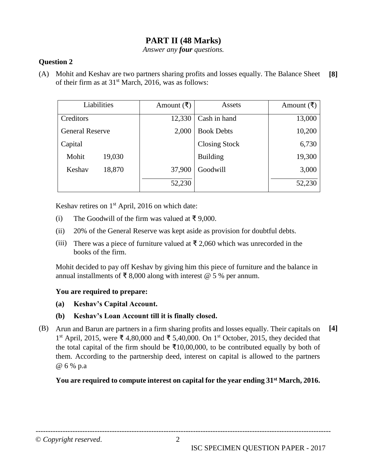### **PART II (48 Marks)**

*Answer any four questions.*

#### **Question 2**

(A) Mohit and Keshav are two partners sharing profits and losses equally. The Balance Sheet of their firm as at  $31<sup>st</sup>$  March, 2016, was as follows: **[8]**

|                        | Liabilities | Amount (₹) | Assets               | Amount $($ ₹ $)$ |
|------------------------|-------------|------------|----------------------|------------------|
| Creditors              |             | 12,330     | Cash in hand         | 13,000           |
| <b>General Reserve</b> |             | 2,000      | <b>Book Debts</b>    | 10,200           |
| Capital                |             |            | <b>Closing Stock</b> | 6,730            |
| Mohit                  | 19,030      |            | <b>Building</b>      | 19,300           |
| Keshav                 | 18,870      | 37,900     | Goodwill             | 3,000            |
|                        |             | 52,230     |                      | 52,230           |

Keshav retires on 1<sup>st</sup> April, 2016 on which date:

- (i) The Goodwill of the firm was valued at ₹ 9,000.
- (ii) 20% of the General Reserve was kept aside as provision for doubtful debts.
- (iii) There was a piece of furniture valued at  $\bar{\tau}$  2,060 which was unrecorded in the books of the firm.

Mohit decided to pay off Keshav by giving him this piece of furniture and the balance in annual installments of ₹ 8,000 along with interest  $\omega$  5 % per annum.

#### **You are required to prepare:**

- **(a) Keshav's Capital Account.**
- **(b) Keshav's Loan Account till it is finally closed.**
- (B) Arun and Barun are partners in a firm sharing profits and losses equally. Their capitals on 1 st April, 2015, were ₹ 4,80,000 and ₹ 5,40,000. On 1st October, 2015, they decided that the total capital of the firm should be  $\bar{\tau}10,00,000$ , to be contributed equally by both of them. According to the partnership deed, interest on capital is allowed to the partners @ 6 % p.a **[4]**

#### **You are required to compute interest on capital for the year ending 31st March, 2016.**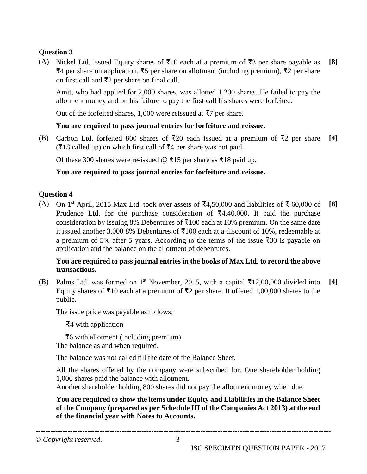(A) Nickel Ltd. issued Equity shares of ₹10 each at a premium of ₹3 per share payable as ₹4 per share on application, ₹5 per share on allotment (including premium), ₹2 per share on first call and ₹2 per share on final call. **[8]**

Amit, who had applied for 2,000 shares, was allotted 1,200 shares. He failed to pay the allotment money and on his failure to pay the first call his shares were forfeited.

Out of the forfeited shares, 1,000 were reissued at ₹7 per share.

#### **You are required to pass journal entries for forfeiture and reissue.**

(B) Carbon Ltd. forfeited 800 shares of ₹20 each issued at a premium of ₹2 per share (₹18 called up) on which first call of ₹4 per share was not paid. **[4]**

Of these 300 shares were re-issued  $\omega$  ₹15 per share as ₹18 paid up.

#### **You are required to pass journal entries for forfeiture and reissue.**

#### **Question 4**

(A) On 1<sup>st</sup> April, 2015 Max Ltd. took over assets of ₹4,50,000 and liabilities of ₹ 60,000 of Prudence Ltd. for the purchase consideration of ₹4,40,000. It paid the purchase consideration by issuing 8% Debentures of  $\text{\textsterling}100$  each at 10% premium. On the same date it issued another 3,000 8% Debentures of ₹100 each at a discount of 10%, redeemable at a premium of 5% after 5 years. According to the terms of the issue ₹30 is payable on application and the balance on the allotment of debentures. **[8]**

#### **You are required to pass journal entries in the books of Max Ltd. to record the above transactions.**

(B) Palms Ltd. was formed on 1<sup>st</sup> November, 2015, with a capital  $\bar{\tau}$ 12,00,000 divided into Equity shares of ₹10 each at a premium of ₹2 per share. It offered 1,00,000 shares to the public. **[4]**

The issue price was payable as follows:

₹4 with application

 ₹6 with allotment (including premium) The balance as and when required.

The balance was not called till the date of the Balance Sheet.

All the shares offered by the company were subscribed for. One shareholder holding 1,000 shares paid the balance with allotment.

Another shareholder holding 800 shares did not pay the allotment money when due.

**You are required to show the items under Equity and Liabilities in the Balance Sheet of the Company (prepared as per Schedule III of the Companies Act 2013) at the end of the financial year with Notes to Accounts.**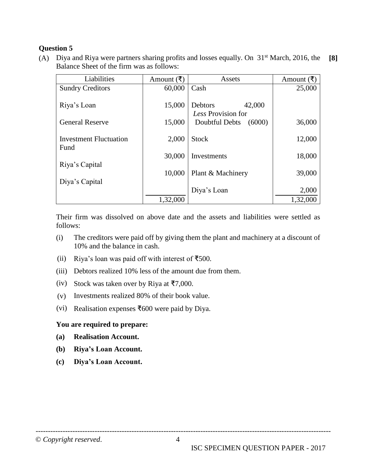(A) Diya and Riya were partners sharing profits and losses equally. On  $31<sup>st</sup>$  March, 2016, the Balance Sheet of the firm was as follows: **[8]**

| Liabilities                   | Amount $($ ₹ $)$ | Assets                   | Amount $(\xi)$ |
|-------------------------------|------------------|--------------------------|----------------|
| <b>Sundry Creditors</b>       | 60,000           | Cash                     | 25,000         |
|                               |                  |                          |                |
| Riya's Loan                   | 15,000           | 42,000<br>Debtors        |                |
|                               |                  | Less Provision for       |                |
| <b>General Reserve</b>        | 15,000           | (6000)<br>Doubtful Debts | 36,000         |
|                               |                  |                          |                |
| <b>Investment Fluctuation</b> | 2,000            | <b>Stock</b>             | 12,000         |
| Fund                          | 30,000           |                          |                |
| Riya's Capital                |                  | Investments              | 18,000         |
|                               | 10,000           | Plant & Machinery        | 39,000         |
| Diya's Capital                |                  |                          |                |
|                               |                  | Diya's Loan              | 2,000          |
|                               |                  |                          |                |
|                               | 1,32,000         |                          | 1,32,000       |

Their firm was dissolved on above date and the assets and liabilities were settled as follows:

- (i) The creditors were paid off by giving them the plant and machinery at a discount of 10% and the balance in cash.
- (ii) Riya's loan was paid off with interest of  $\text{\textsterling}500$ .
- (iii) Debtors realized 10% less of the amount due from them.
- (iv) Stock was taken over by Riya at ₹7,000.
- (v) Investments realized 80% of their book value.
- (vi) Realisation expenses ₹600 were paid by Diya.

#### **You are required to prepare:**

- **(a) Realisation Account.**
- **(b) Riya's Loan Account.**
- **(c) Diya's Loan Account.**

© *Copyright reserved*. 4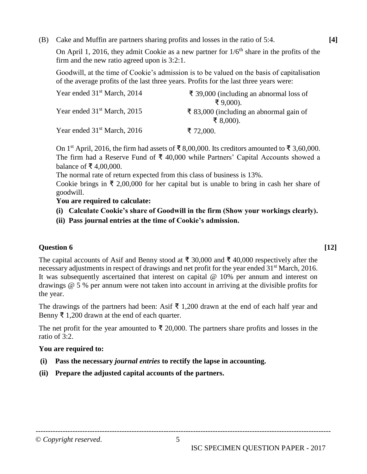(B) Cake and Muffin are partners sharing profits and losses in the ratio of 5:4.

On April 1, 2016, they admit Cookie as a new partner for  $1/6<sup>th</sup>$  share in the profits of the firm and the new ratio agreed upon is 3:2:1.

Goodwill, at the time of Cookie's admission is to be valued on the basis of capitalisation of the average profits of the last three years. Profits for the last three years were:

| Year ended 31 <sup>st</sup> March, 2014 | ₹ 39,000 (including an abnormal loss of<br>₹ $9,000$ ). |
|-----------------------------------------|---------------------------------------------------------|
| Year ended 31 <sup>st</sup> March, 2015 | ₹ 83,000 (including an abnormal gain of<br>₹ 8,000).    |
| Year ended $31st$ March, 2016           | ₹ 72,000.                                               |

On 1<sup>st</sup> April, 2016, the firm had assets of ₹ 8,00,000. Its creditors amounted to ₹ 3,60,000. The firm had a Reserve Fund of  $\bar{\tau}$  40,000 while Partners' Capital Accounts showed a balance of ₹ 4,00,000.

The normal rate of return expected from this class of business is 13%.

Cookie brings in ₹ 2,00,000 for her capital but is unable to bring in cash her share of goodwill.

#### **You are required to calculate:**

- **(i) Calculate Cookie's share of Goodwill in the firm (Show your workings clearly).**
- **(ii) Pass journal entries at the time of Cookie's admission.**

#### **Question 6 [12]**

The capital accounts of Asif and Benny stood at ₹ 30,000 and ₹ 40,000 respectively after the necessary adjustments in respect of drawings and net profit for the year ended 31<sup>st</sup> March, 2016. It was subsequently ascertained that interest on capital @ 10% per annum and interest on drawings @ 5 % per annum were not taken into account in arriving at the divisible profits for the year.

The drawings of the partners had been: Asif  $\bar{\xi}$  1,200 drawn at the end of each half year and Benny ₹ 1,200 drawn at the end of each quarter.

The net profit for the year amounted to  $\bar{\tau}$  20,000. The partners share profits and losses in the ratio of 3:2.

------------------------------------------------------------------------------------------------------------------------

#### **You are required to:**

- **(i) Pass the necessary** *journal entries* **to rectify the lapse in accounting.**
- **(ii) Prepare the adjusted capital accounts of the partners.**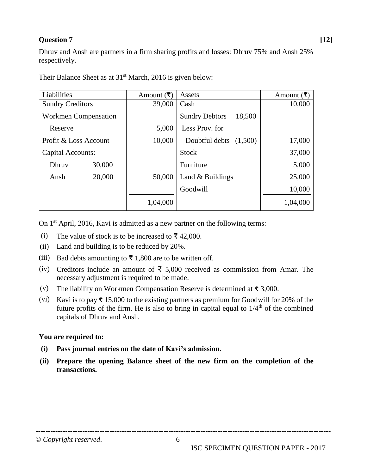#### **Question 7 [12]**

Dhruv and Ansh are partners in a firm sharing profits and losses: Dhruv 75% and Ansh 25% respectively.

| Liabilities             |        | Amount $($ ₹ $)$ | Assets                          | Amount $($ ₹ $)$ |
|-------------------------|--------|------------------|---------------------------------|------------------|
| <b>Sundry Creditors</b> |        | 39,000           | Cash                            | 10,000           |
| Workmen Compensation    |        |                  | <b>Sundry Debtors</b><br>18,500 |                  |
| Reserve                 |        | 5,000            | Less Prov. for                  |                  |
| Profit & Loss Account   |        | 10,000           | Doubtful debts $(1,500)$        | 17,000           |
| Capital Accounts:       |        |                  | <b>Stock</b>                    | 37,000           |
| Dhruv                   | 30,000 |                  | Furniture                       | 5,000            |
| Ansh                    | 20,000 | 50,000           | Land & Buildings                | 25,000           |
|                         |        |                  | Goodwill                        | 10,000           |
|                         |        | 1,04,000         |                                 | 1,04,000         |

Their Balance Sheet as at 31<sup>st</sup> March, 2016 is given below:

On 1<sup>st</sup> April, 2016, Kavi is admitted as a new partner on the following terms:

- (i) The value of stock is to be increased to  $\bar{\tau}$  42,000.
- (ii) Land and building is to be reduced by 20%.
- (iii) Bad debts amounting to  $\bar{\mathbf{\tau}}$  1,800 are to be written off.
- (iv) Creditors include an amount of ₹ 5,000 received as commission from Amar. The necessary adjustment is required to be made.
- (v) The liability on Workmen Compensation Reserve is determined at  $\bar{\tau}$  3,000.
- (vi) Kavi is to pay  $\bar{\tau}$  15,000 to the existing partners as premium for Goodwill for 20% of the future profits of the firm. He is also to bring in capital equal to  $1/4<sup>th</sup>$  of the combined capitals of Dhruv and Ansh.

#### **You are required to:**

- **(i) Pass journal entries on the date of Kavi's admission.**
- **(ii) Prepare the opening Balance sheet of the new firm on the completion of the transactions.**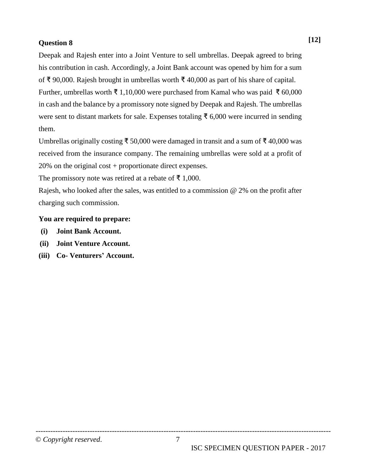Deepak and Rajesh enter into a Joint Venture to sell umbrellas. Deepak agreed to bring his contribution in cash. Accordingly, a Joint Bank account was opened by him for a sum of ₹ 90,000. Rajesh brought in umbrellas worth ₹ 40,000 as part of his share of capital.

Further, umbrellas worth ₹ 1,10,000 were purchased from Kamal who was paid ₹ 60,000 in cash and the balance by a promissory note signed by Deepak and Rajesh. The umbrellas were sent to distant markets for sale. Expenses totaling ₹ 6,000 were incurred in sending them.

Umbrellas originally costing ₹ 50,000 were damaged in transit and a sum of ₹ 40,000 was received from the insurance company. The remaining umbrellas were sold at a profit of 20% on the original cost + proportionate direct expenses.

The promissory note was retired at a rebate of  $\bar{\tau}$  1,000.

Rajesh, who looked after the sales, was entitled to a commission @ 2% on the profit after charging such commission.

#### **You are required to prepare:**

- **(i) Joint Bank Account.**
- **(ii) Joint Venture Account.**
- **(iii) Co- Venturers' Account.**

**[12]**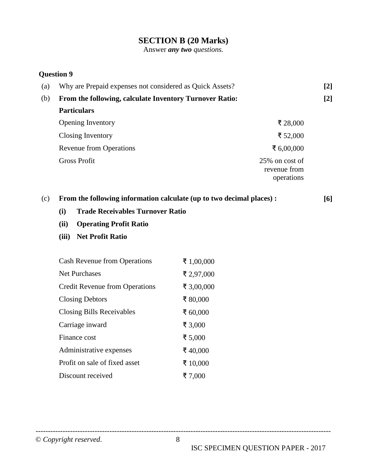### **SECTION B (20 Marks)**

Answer *any two questions.*

#### **Question 9**

| Why are Prepaid expenses not considered as Quick Assets? |                                              | $[2]$ |
|----------------------------------------------------------|----------------------------------------------|-------|
| From the following, calculate Inventory Turnover Ratio:  |                                              |       |
| <b>Particulars</b>                                       |                                              |       |
| <b>Opening Inventory</b>                                 | ₹ 28,000                                     |       |
| Closing Inventory                                        | ₹ 52,000                                     |       |
| <b>Revenue from Operations</b>                           | ₹ 6,00,000                                   |       |
| <b>Gross Profit</b>                                      | 25% on cost of<br>revenue from<br>operations |       |
|                                                          |                                              |       |

#### (c) **From the following information calculate (up to two decimal places) : [6]**

- **(i) Trade Receivables Turnover Ratio**
- **(ii) Operating Profit Ratio**
- **(iii) Net Profit Ratio**

| <b>Cash Revenue from Operations</b>   | ₹ 1,00,000 |
|---------------------------------------|------------|
| <b>Net Purchases</b>                  | ₹ 2,97,000 |
| <b>Credit Revenue from Operations</b> | ₹ 3,00,000 |
| <b>Closing Debtors</b>                | ₹ 80,000   |
| <b>Closing Bills Receivables</b>      | ₹ 60,000   |
| Carriage inward                       | ₹ 3,000    |
| Finance cost                          | ₹ 5,000    |
| Administrative expenses               | ₹40,000    |
| Profit on sale of fixed asset         | ₹ 10,000   |
| Discount received                     | ₹7,000     |
|                                       |            |

© *Copyright reserved*. 8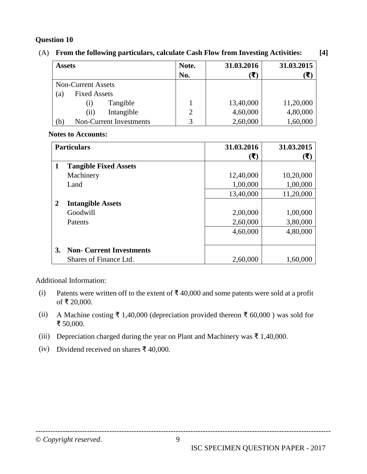#### (A) **From the following particulars, calculate Cash Flow from Investing Activities: [4]**

| <b>Assets</b>                  | Note. | 31.03.2016 | 31.03.2015 |
|--------------------------------|-------|------------|------------|
|                                | No.   | E)         |            |
| <b>Non-Current Assets</b>      |       |            |            |
| <b>Fixed Assets</b><br>(a)     |       |            |            |
| Tangible<br>$\left( 1 \right)$ |       | 13,40,000  | 11,20,000  |
| Intangible<br>(i)              | 2     | 4,60,000   | 4,80,000   |
| Non-Current Investments<br>(b) |       | 2,60,000   | 1,60,000   |

#### **Notes to Accounts:**

|    | <b>Particulars</b>              | 31.03.2016                | 31.03.2015                        |
|----|---------------------------------|---------------------------|-----------------------------------|
|    |                                 | $(\overline{\mathbf{t}})$ | $(\overline{\blacktriangledown})$ |
| 1  | <b>Tangible Fixed Assets</b>    |                           |                                   |
|    | Machinery                       | 12,40,000                 | 10,20,000                         |
|    | Land                            | 1,00,000                  | 1,00,000                          |
|    |                                 | 13,40,000                 | 11,20,000                         |
| 2  | <b>Intangible Assets</b>        |                           |                                   |
|    | Goodwill                        | 2,00,000                  | 1,00,000                          |
|    | Patents                         | 2,60,000                  | 3,80,000                          |
|    |                                 | 4,60,000                  | 4,80,000                          |
|    |                                 |                           |                                   |
| 3. | <b>Non- Current Investments</b> |                           |                                   |
|    | Shares of Finance Ltd.          | 2,60,000                  | 1,60,000                          |

Additional Information:

- (i) Patents were written off to the extent of  $\bar{\tau}$  40,000 and some patents were sold at a profit of ₹ 20,000.
- (ii) A Machine costing ₹ 1,40,000 (depreciation provided thereon ₹ 60,000 ) was sold for ₹ 50,000.
- (iii) Depreciation charged during the year on Plant and Machinery was  $\bar{\tau}$  1,40,000.
- (iv) Dividend received on shares ₹ 40,000.

© *Copyright reserved*. 9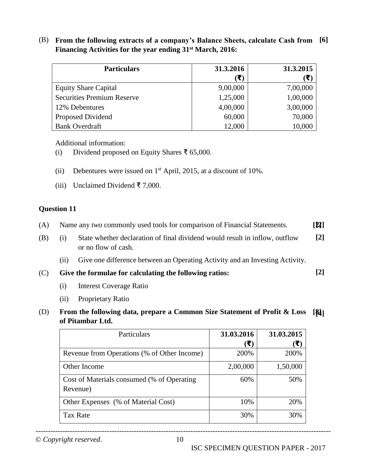(B) **From the following extracts of a company's Balance Sheets, calculate Cash from [6] Financing Activities for the year ending 31st March, 2016:**

| <b>Particulars</b>                | 31.3.2016              | 31.3.2015                 |
|-----------------------------------|------------------------|---------------------------|
|                                   | $(\blacktriangledown)$ | $(\overline{\mathbf{x}})$ |
| <b>Equity Share Capital</b>       | 9,00,000               | 7,00,000                  |
| <b>Securities Premium Reserve</b> | 1,25,000               | 1,00,000                  |
| 12% Debentures                    | 4,00,000               | 3,00,000                  |
| Proposed Dividend                 | 60,000                 | 70,000                    |
| <b>Bank Overdraft</b>             | 12,000                 | 10,000                    |

Additional information:

- (i) Dividend proposed on Equity Shares ₹ 65,000.
- (ii) Debentures were issued on  $1<sup>st</sup>$  April, 2015, at a discount of 10%.
- (iii) Unclaimed Dividend ₹ 7,000.

#### **Question 11**

| (A) |  | Name any two commonly used tools for comparison of Financial Statements. | [2] |
|-----|--|--------------------------------------------------------------------------|-----|
|     |  |                                                                          |     |

- (B) (i) State whether declaration of final dividend would result in inflow, outflow or no flow of cash. **[2]**
	- (ii) Give one difference between an Operating Activity and an Investing Activity.

(C) **Give the formulae for calculating the following ratios: [2]**

- (i) Interest Coverage Ratio
- (ii) Proprietary Ratio

#### (D) **From the following data, prepare a Common Size Statement of Profit & Loss [8] [4]of Pitambar Ltd.**

| Particulars                                 | 31.03.2016 | 31.03.2015 |
|---------------------------------------------|------------|------------|
|                                             | (₹)        | (₹)        |
| Revenue from Operations (% of Other Income) | 200%       | 200%       |
| Other Income                                | 2,00,000   | 1,50,000   |
| Cost of Materials consumed (% of Operating  | 60%        | 50%        |
| Revenue)                                    |            |            |
| Other Expenses (% of Material Cost)         | 10%        | 20%        |
| <b>Tax Rate</b>                             | 30%        | 30%        |

© *Copyright reserved*. 10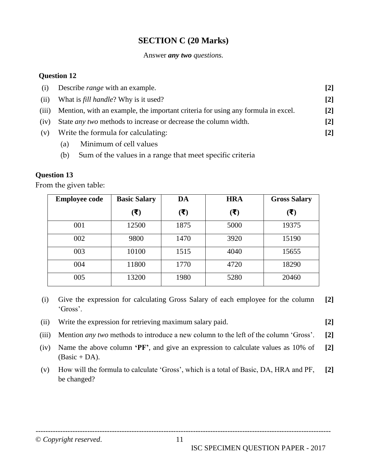### **SECTION C (20 Marks)**

#### Answer *any two questions.*

#### **Question 12**

| (i)   | Describe <i>range</i> with an example.                                           | [2] |
|-------|----------------------------------------------------------------------------------|-----|
| (ii)  | What is <i>fill handle</i> ? Why is it used?                                     | [2] |
| (iii) | Mention, with an example, the important criteria for using any formula in excel. | [2] |
| (iv)  | State <i>any two</i> methods to increase or decrease the column width.           | [2] |
| (v)   | Write the formula for calculating:                                               | [2] |
|       | Minimum of cell values<br>(a)                                                    |     |

(b) Sum of the values in a range that meet specific criteria

#### **Question 13**

From the given table:

| <b>Employee code</b> | <b>Basic Salary</b>               | DA                        | <b>HRA</b>                        | <b>Gross Salary</b> |
|----------------------|-----------------------------------|---------------------------|-----------------------------------|---------------------|
|                      | $(\overline{\overline{\bullet}})$ | $(\overline{\mathbf{t}})$ | $(\overline{\overline{\bullet}})$ | (₹)                 |
| 001                  | 12500                             | 1875                      | 5000                              | 19375               |
| 002                  | 9800                              | 1470                      | 3920                              | 15190               |
| 003                  | 10100                             | 1515                      | 4040                              | 15655               |
| 004                  | 11800                             | 1770                      | 4720                              | 18290               |
| 005                  | 13200                             | 1980                      | 5280                              | 20460               |

- (i) Give the expression for calculating Gross Salary of each employee for the column 'Gross'. **[2]**
- (ii) Write the expression for retrieving maximum salary paid. **[2]**
- 
- (iii) Mention *any two* methods to introduce a new column to the left of the column 'Gross'. **[2]**
- (iv) Name the above column **'PF'**, and give an expression to calculate values as 10% of  $(Basic + DA).$ **[2]**
- (v) How will the formula to calculate 'Gross', which is a total of Basic, DA, HRA and PF, be changed? **[2]**

© *Copyright reserved*. 11